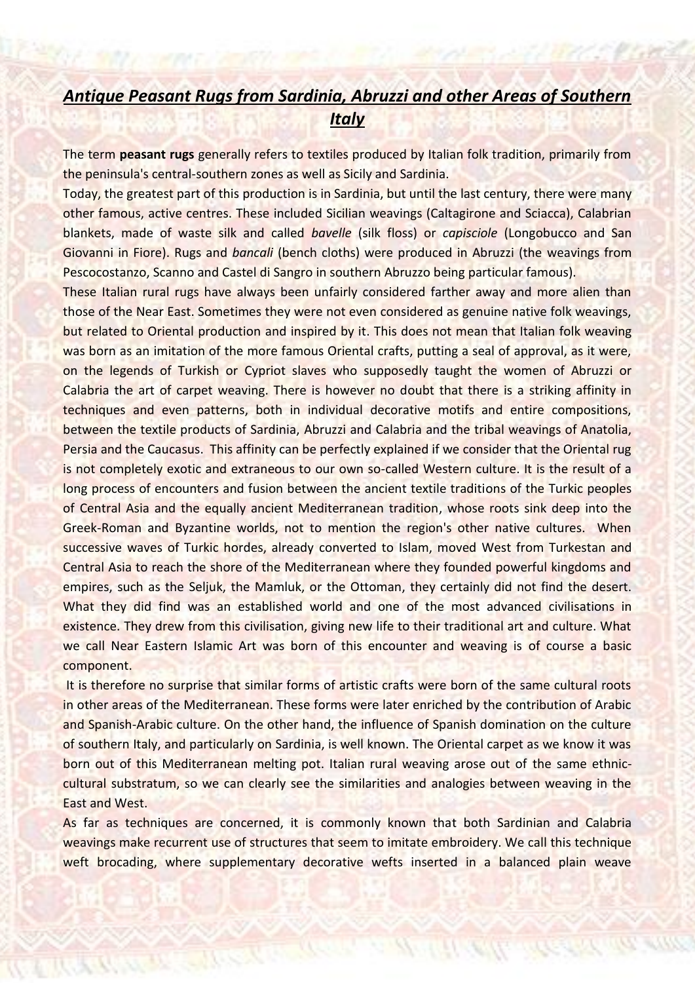## *Antique Peasant Rugs from Sardinia, Abruzzi and other Areas of Southern Italy*

The term **peasant rugs** generally refers to textiles produced by Italian folk tradition, primarily from the peninsula's central-southern zones as well as Sicily and Sardinia.

Today, the greatest part of this production is in Sardinia, but until the last century, there were many other famous, active centres. These included Sicilian weavings (Caltagirone and Sciacca), Calabrian blankets, made of waste silk and called *bavelle* (silk floss) or *capisciole* (Longobucco and San Giovanni in Fiore). Rugs and *bancali* (bench cloths) were produced in Abruzzi (the weavings from Pescocostanzo, Scanno and Castel di Sangro in southern Abruzzo being particular famous).

These Italian rural rugs have always been unfairly considered farther away and more alien than those of the Near East. Sometimes they were not even considered as genuine native folk weavings, but related to Oriental production and inspired by it. This does not mean that Italian folk weaving was born as an imitation of the more famous Oriental crafts, putting a seal of approval, as it were, on the legends of Turkish or Cypriot slaves who supposedly taught the women of Abruzzi or Calabria the art of carpet weaving. There is however no doubt that there is a striking affinity in techniques and even patterns, both in individual decorative motifs and entire compositions, between the textile products of Sardinia, Abruzzi and Calabria and the tribal weavings of Anatolia, Persia and the Caucasus. This affinity can be perfectly explained if we consider that the Oriental rug is not completely exotic and extraneous to our own so-called Western culture. It is the result of a long process of encounters and fusion between the ancient textile traditions of the Turkic peoples of Central Asia and the equally ancient Mediterranean tradition, whose roots sink deep into the Greek-Roman and Byzantine worlds, not to mention the region's other native cultures. When successive waves of Turkic hordes, already converted to Islam, moved West from Turkestan and Central Asia to reach the shore of the Mediterranean where they founded powerful kingdoms and empires, such as the Seljuk, the Mamluk, or the Ottoman, they certainly did not find the desert. What they did find was an established world and one of the most advanced civilisations in existence. They drew from this civilisation, giving new life to their traditional art and culture. What we call Near Eastern Islamic Art was born of this encounter and weaving is of course a basic component.

It is therefore no surprise that similar forms of artistic crafts were born of the same cultural roots in other areas of the Mediterranean. These forms were later enriched by the contribution of Arabic and Spanish-Arabic culture. On the other hand, the influence of Spanish domination on the culture of southern Italy, and particularly on Sardinia, is well known. The Oriental carpet as we know it was born out of this Mediterranean melting pot. Italian rural weaving arose out of the same ethniccultural substratum, so we can clearly see the similarities and analogies between weaving in the East and West.

As far as techniques are concerned, it is commonly known that both Sardinian and Calabria weavings make recurrent use of structures that seem to imitate embroidery. We call this technique weft brocading, where supplementary decorative wefts inserted in a balanced plain weave